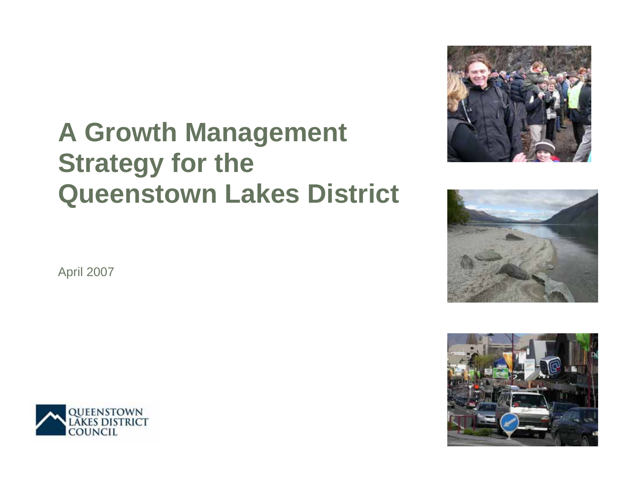# **A Growth Management Strategy for the Queenstown Lakes District**







April 2007

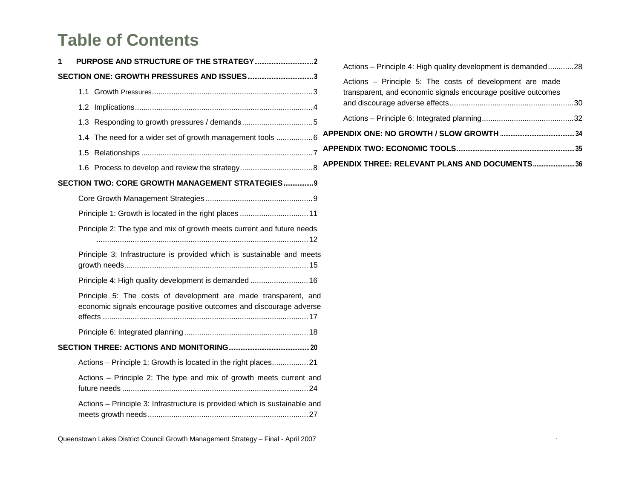# **Table of Contents**

| 1 |                                                                                                                                        |  |
|---|----------------------------------------------------------------------------------------------------------------------------------------|--|
|   |                                                                                                                                        |  |
|   |                                                                                                                                        |  |
|   |                                                                                                                                        |  |
|   |                                                                                                                                        |  |
|   | 1.4 The need for a wider set of growth management tools 6                                                                              |  |
|   |                                                                                                                                        |  |
|   |                                                                                                                                        |  |
|   | SECTION TWO: CORE GROWTH MANAGEMENT STRATEGIES 9                                                                                       |  |
|   |                                                                                                                                        |  |
|   | Principle 1: Growth is located in the right places  11                                                                                 |  |
|   | Principle 2: The type and mix of growth meets current and future needs                                                                 |  |
|   | Principle 3: Infrastructure is provided which is sustainable and meets                                                                 |  |
|   | Principle 4: High quality development is demanded  16                                                                                  |  |
|   | Principle 5: The costs of development are made transparent, and<br>economic signals encourage positive outcomes and discourage adverse |  |
|   |                                                                                                                                        |  |
|   |                                                                                                                                        |  |
|   | Actions - Principle 1: Growth is located in the right places21                                                                         |  |
|   | Actions - Principle 2: The type and mix of growth meets current and                                                                    |  |
|   | Actions - Principle 3: Infrastructure is provided which is sustainable and                                                             |  |

Queenstown Lakes District Council Growth Management Strategy – Final - April 2007 <sup>1</sup>

| Actions - Principle 4: High quality development is demanded28                                                             |  |
|---------------------------------------------------------------------------------------------------------------------------|--|
| Actions - Principle 5: The costs of development are made<br>transparent, and economic signals encourage positive outcomes |  |
|                                                                                                                           |  |
|                                                                                                                           |  |
|                                                                                                                           |  |
|                                                                                                                           |  |
| APPENDIX THREE: RELEVANT PLANS AND DOCUMENTS 36                                                                           |  |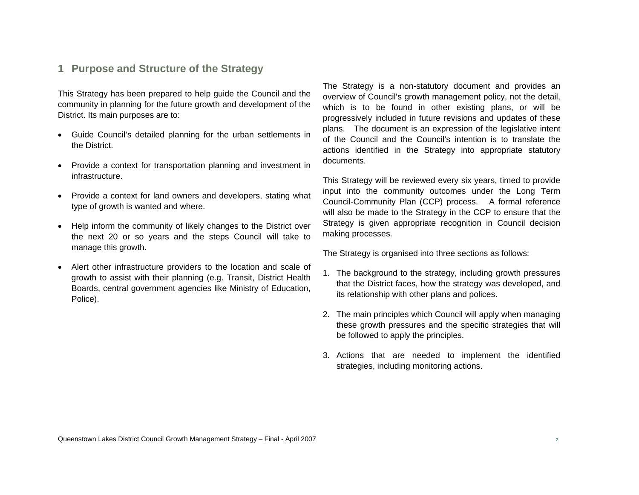#### **1 Purpose and Structure of the Strategy**

This Strategy has been prepared to help guide the Council and the community in planning for the future growth and development of the District. Its main purposes are to:

- Guide Council's detailed planning for the urban settlements in the District.
- Provide a context for transportation planning and investment in infrastructure.
- Provide a context for land owners and developers, stating what type of growth is wanted and where.
- Help inform the community of likely changes to the District over the next 20 or so years and the steps Council will take to manage this growth.
- Alert other infrastructure providers to the location and scale of growth to assist with their planning (e.g. Transit, District Health Boards, central government agencies like Ministry of Education, Police).

The Strategy is a non-statutory document and provides an overview of Council's growth management policy, not the detail, which is to be found in other existing plans, or will be progressively included in future revisions and updates of these plans. The document is an expression of the legislative intent of the Council and the Council's intention is to translate the actions identified in the Strategy into appropriate statutory documents.

This Strategy will be reviewed every six years, timed to provide input into the community outcomes under the Long Term Council-Community Plan (CCP) process. A formal reference will also be made to the Strategy in the CCP to ensure that the Strategy is given appropriate recognition in Council decision making processes.

The Strategy is organised into three sections as follows:

- 1. The background to the strategy, including growth pressures that the District faces, how the strategy was developed, and its relationship with other plans and polices.
- 2. The main principles which Council will apply when managing these growth pressures and the specific strategies that will be followed to apply the principles.
- 3. Actions that are needed to implement the identified strategies, including monitoring actions.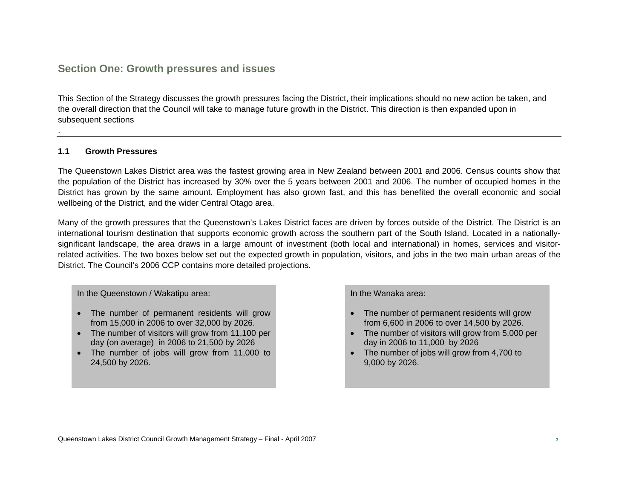# **Section One: Growth pressures and issues**

This Section of the Strategy discusses the growth pressures facing the District, their implications should no new action be taken, and the overall direction that the Council will take to manage future growth in the District. This direction is then expanded upon in subsequent sections

#### **1.1 Growth Pressures**

The Queenstown Lakes District area was the fastest growing area in New Zealand between 2001 and 2006. Census counts show that the population of the District has increased by 30% over the 5 years between 2001 and 2006. The number of occupied homes in the District has grown by the same amount. Employment has also grown fast, and this has benefited the overall economic and social wellbeing of the District, and the wider Central Otago area.

Many of the growth pressures that the Queenstown's Lakes District faces are driven by forces outside of the District. The District is an international tourism destination that supports economic growth across the southern part of the South Island. Located in a nationallysignificant landscape, the area draws in a large amount of investment (both local and international) in homes, services and visitorrelated activities. The two boxes below set out the expected growth in population, visitors, and jobs in the two main urban areas of the District. The Council's 2006 CCP contains more detailed projections.

In the Queenstown / Wakatipu area:

- The number of permanent residents will grow from 15,000 in 2006 to over 32,000 by 2026.
- The number of visitors will grow from 11,100 per day (on average) in 2006 to 21,500 by 2026
- The number of jobs will grow from 11,000 to 24,500 by 2026.

In the Wanaka area:

- The number of permanent residents will grow from 6,600 in 2006 to over 14,500 by 2026.
- The number of visitors will grow from 5,000 per day in 2006 to 11,000 by 2026
- The number of jobs will grow from 4,700 to 9,000 by 2026.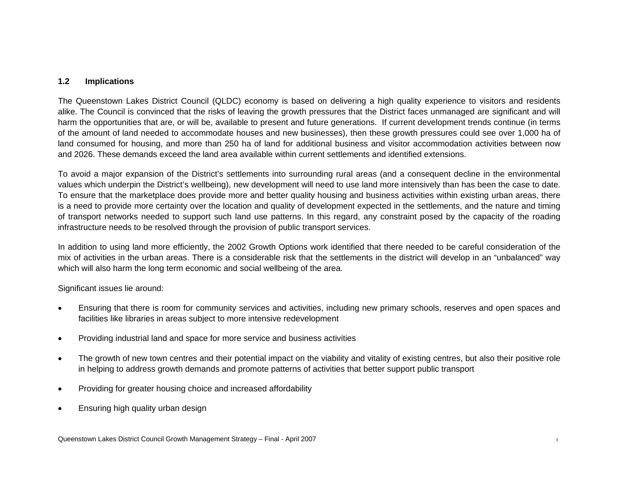#### **1.2 Implications**

The Queenstown Lakes District Council (QLDC) economy is based on delivering a high quality experience to visitors and residents alike. The Council is convinced that the risks of leaving the growth pressures that the District faces unmanaged are significant and will harm the opportunities that are, or will be, available to present and future generations. If current development trends continue (in terms of the amount of land needed to accommodate houses and new businesses), then these growth pressures could see over 1,000 ha of land consumed for housing, and more than 250 ha of land for additional business and visitor accommodation activities between now and 2026. These demands exceed the land area available within current settlements and identified extensions.

To avoid a major expansion of the District's settlements into surrounding rural areas (and a consequent decline in the environmental values which underpin the District's wellbeing), new development will need to use land more intensively than has been the case to date. To ensure that the marketplace does provide more and better quality housing and business activities within existing urban areas, there is a need to provide more certainty over the location and quality of development expected in the settlements, and the nature and timing of transport networks needed to support such land use patterns. In this regard, any constraint posed by the capacity of the roading infrastructure needs to be resolved through the provision of public transport services.

In addition to using land more efficiently, the 2002 Growth Options work identified that there needed to be careful consideration of the mix of activities in the urban areas. There is a considerable risk that the settlements in the district will develop in an "unbalanced" way which will also harm the long term economic and social wellbeing of the area.

Significant issues lie around:

- Ensuring that there is room for community services and activities, including new primary schools, reserves and open spaces and facilities like libraries in areas subject to more intensive redevelopment
- Providing industrial land and space for more service and business activities
- The growth of new town centres and their potential impact on the viability and vitality of existing centres, but also their positive role in helping to address growth demands and promote patterns of activities that better support public transport
- Providing for greater housing choice and increased affordability
- Ensuring high quality urban design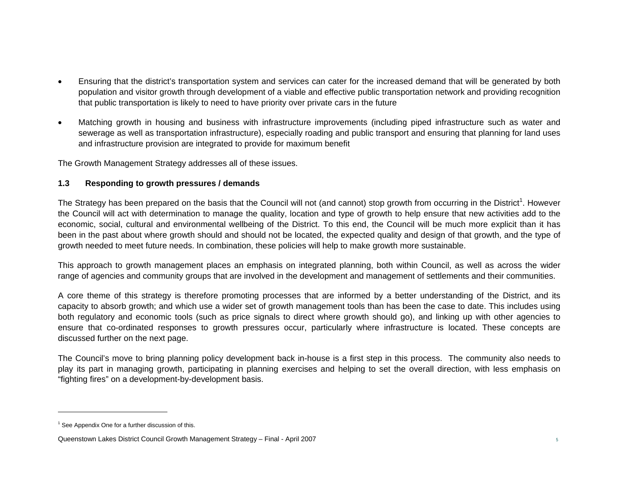- Ensuring that the district's transportation system and services can cater for the increased demand that will be generated by both population and visitor growth through development of a viable and effective public transportation network and providing recognition that public transportation is likely to need to have priority over private cars in the future
- Matching growth in housing and business with infrastructure improvements (including piped infrastructure such as water and sewerage as well as transportation infrastructure), especially roading and public transport and ensuring that planning for land uses and infrastructure provision are integrated to provide for maximum benefit

The Growth Management Strategy addresses all of these issues.

#### **1.3 Responding to growth pressures / demands**

The Strategy has been prepared on the basis that the Council will not (and cannot) stop growth from occurring in the District<sup>1</sup>. However the Council will act with determination to manage the quality, location and type of growth to help ensure that new activities add to the economic, social, cultural and environmental wellbeing of the District. To this end, the Council will be much more explicit than it has been in the past about where growth should and should not be located, the expected quality and design of that growth, and the type of growth needed to meet future needs. In combination, these policies will help to make growth more sustainable.

This approach to growth management places an emphasis on integrated planning, both within Council, as well as across the wider range of agencies and community groups that are involved in the development and management of settlements and their communities.

A core theme of this strategy is therefore promoting processes that are informed by a better understanding of the District, and its capacity to absorb growth; and which use a wider set of growth management tools than has been the case to date. This includes using both regulatory and economic tools (such as price signals to direct where growth should go), and linking up with other agencies to ensure that co-ordinated responses to growth pressures occur, particularly where infrastructure is located. These concepts are discussed further on the next page.

The Council's move to bring planning policy development back in-house is a first step in this process. The community also needs to play its part in managing growth, participating in planning exercises and helping to set the overall direction, with less emphasis on "fighting fires" on a development-by-development basis.

 $1$  See Appendix One for a further discussion of this.

Queenstown Lakes District Council Growth Management Strategy – Final - April 2007 <sup>5</sup>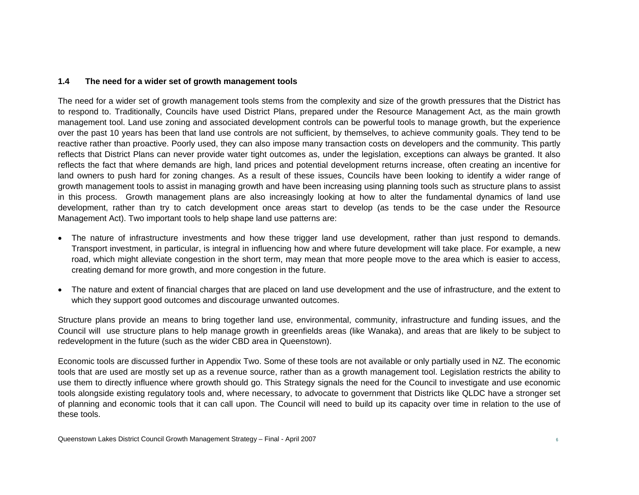#### **1.4 The need for a wider set of growth management tools**

The need for a wider set of growth management tools stems from the complexity and size of the growth pressures that the District has to respond to. Traditionally, Councils have used District Plans, prepared under the Resource Management Act, as the main growth management tool. Land use zoning and associated development controls can be powerful tools to manage growth, but the experience over the past 10 years has been that land use controls are not sufficient, by themselves, to achieve community goals. They tend to be reactive rather than proactive. Poorly used, they can also impose many transaction costs on developers and the community. This partly reflects that District Plans can never provide water tight outcomes as, under the legislation, exceptions can always be granted. It also reflects the fact that where demands are high, land prices and potential development returns increase, often creating an incentive for land owners to push hard for zoning changes. As a result of these issues, Councils have been looking to identify a wider range of growth management tools to assist in managing growth and have been increasing using planning tools such as structure plans to assist in this process. Growth management plans are also increasingly looking at how to alter the fundamental dynamics of land use development, rather than try to catch development once areas start to develop (as tends to be the case under the Resource Management Act). Two important tools to help shape land use patterns are:

- The nature of infrastructure investments and how these trigger land use development, rather than just respond to demands. Transport investment, in particular, is integral in influencing how and where future development will take place. For example, a new road, which might alleviate congestion in the short term, may mean that more people move to the area which is easier to access, creating demand for more growth, and more congestion in the future.
- The nature and extent of financial charges that are placed on land use development and the use of infrastructure, and the extent to which they support good outcomes and discourage unwanted outcomes.

Structure plans provide an means to bring together land use, environmental, community, infrastructure and funding issues, and the Council will use structure plans to help manage growth in greenfields areas (like Wanaka), and areas that are likely to be subject to redevelopment in the future (such as the wider CBD area in Queenstown).

Economic tools are discussed further in Appendix Two. Some of these tools are not available or only partially used in NZ. The economic tools that are used are mostly set up as a revenue source, rather than as a growth management tool. Legislation restricts the ability to use them to directly influence where growth should go. This Strategy signals the need for the Council to investigate and use economic tools alongside existing regulatory tools and, where necessary, to advocate to government that Districts like QLDC have a stronger set of planning and economic tools that it can call upon. The Council will need to build up its capacity over time in relation to the use of these tools.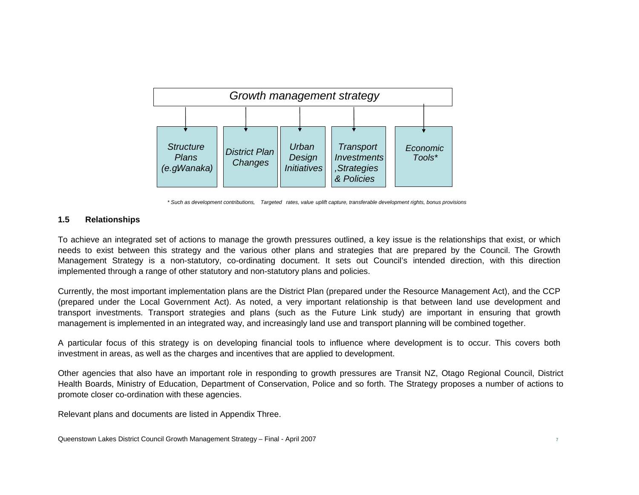

*\* Such as development contributions, Targeted rates, value uplift capture, transferable development rights, bonus provisions*

#### **1.5 Relationships**

To achieve an integrated set of actions to manage the growth pressures outlined, a key issue is the relationships that exist, or which needs to exist between this strategy and the various other plans and strategies that are prepared by the Council. The Growth Management Strategy is a non-statutory, co-ordinating document. It sets out Council's intended direction, with this direction implemented through a range of other statutory and non-statutory plans and policies.

Currently, the most important implementation plans are the District Plan (prepared under the Resource Management Act), and the CCP (prepared under the Local Government Act). As noted, a very important relationship is that between land use development and transport investments. Transport strategies and plans (such as the Future Link study) are important in ensuring that growth management is implemented in an integrated way, and increasingly land use and transport planning will be combined together.

A particular focus of this strategy is on developing financial tools to influence where development is to occur. This covers both investment in areas, as well as the charges and incentives that are applied to development.

Other agencies that also have an important role in responding to growth pressures are Transit NZ, Otago Regional Council, District Health Boards, Ministry of Education, Department of Conservation, Police and so forth. The Strategy proposes a number of actions to promote closer co-ordination with these agencies.

Relevant plans and documents are listed in Appendix Three.

Queenstown Lakes District Council Growth Management Strategy – Final - April 2007 <sup>7</sup>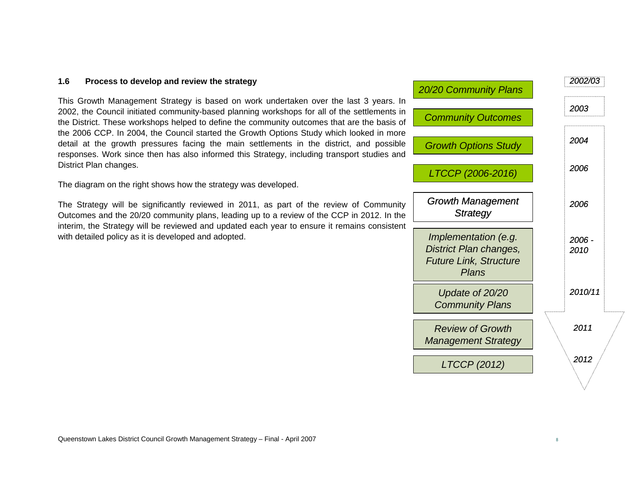#### **1.6 Process to develop and review the strategy**

This Growth Management Strategy is based on work undertaken over the last 3 years. In 2002, the Council initiated community-based planning workshops for all of the settlements in the District. These workshops helped to define the community outcomes that are the basis of the 2006 CCP. In 2004, the Council started the Growth Options Study which looked in more detail at the growth pressures facing the main settlements in the district, and possible responses. Work since then has also informed this Strategy, including transport studies and District Plan changes.

The diagram on the right shows how the strategy was developed.

The Strategy will be significantly reviewed in 2011, as part of the review of Community Outcomes and the 20/20 community plans, leading up to a review of the CCP in 2012. In the interim, the Strategy will be reviewed and updated each year to ensure it remains consistent with detailed policy as it is developed and adopted.

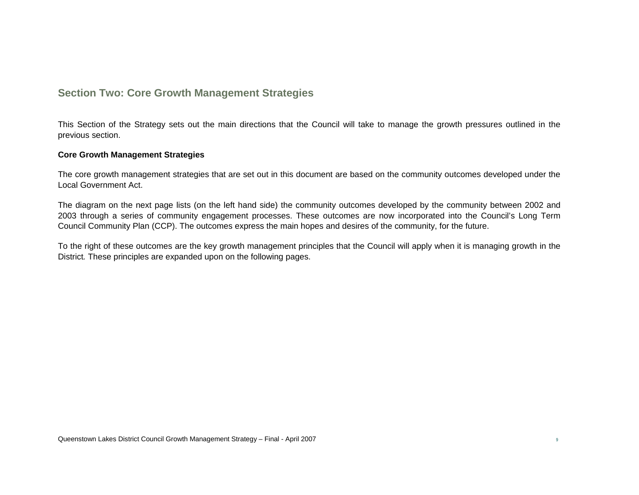# **Section Two: Core Growth Management Strategies**

This Section of the Strategy sets out the main directions that the Council will take to manage the growth pressures outlined in the previous section.

#### **Core Growth Management Strategies**

The core growth management strategies that are set out in this document are based on the community outcomes developed under the Local Government Act.

The diagram on the next page lists (on the left hand side) the community outcomes developed by the community between 2002 and 2003 through a series of community engagement processes. These outcomes are now incorporated into the Council's Long Term Council Community Plan (CCP). The outcomes express the main hopes and desires of the community, for the future.

To the right of these outcomes are the key growth management principles that the Council will apply when it is managing growth in the District*.* These principles are expanded upon on the following pages.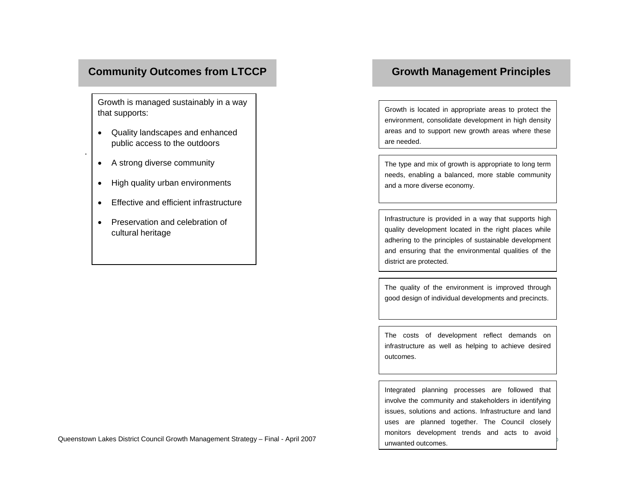# **Community Outcomes from LTCCP**

Growth is managed sustainably in a way that supports:

- Quality landscapes and enhanced public access to the outdoors
- A strong diverse community

.

- High quality urban environments
- Effective and efficient infrastructure
- Preservation and celebration of cultural heritage

# **Growth Management Principles**

Growth is located in appropriate areas to protect the environment, consolidate development in high density areas and to support new growth areas where these are needed.

The type and mix of growth is appropriate to long term needs, enabling a balanced, more stable community and a more diverse economy.

Infrastructure is provided in a way that supports high quality development located in the right places while adhering to the principles of sustainable development and ensuring that the environmental qualities of the district are protected.

The quality of the environment is improved through good design of individual developments and precincts.

The costs of development reflect demands on infrastructure as well as helping to achieve desired outcomes.

Integrated planning processes are followed that involve the community and stakeholders in identifying issues, solutions and actions. Infrastructure and land uses are planned together. The Council closely monitors development trends and acts to avoid unwanted outcomes.

Queenstown Lakes District Council Growth Management Strategy - Final - April 2007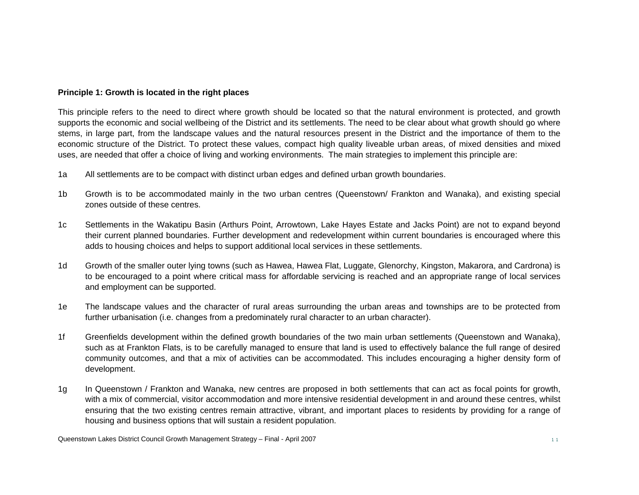#### **Principle 1: Growth is located in the right places**

This principle refers to the need to direct where growth should be located so that the natural environment is protected, and growth supports the economic and social wellbeing of the District and its settlements. The need to be clear about what growth should go where stems, in large part, from the landscape values and the natural resources present in the District and the importance of them to the economic structure of the District. To protect these values, compact high quality liveable urban areas, of mixed densities and mixed uses, are needed that offer a choice of living and working environments. The main strategies to implement this principle are:

- 1a All settlements are to be compact with distinct urban edges and defined urban growth boundaries.
- 1b Growth is to be accommodated mainly in the two urban centres (Queenstown/ Frankton and Wanaka), and existing special zones outside of these centres.
- 1c Settlements in the Wakatipu Basin (Arthurs Point, Arrowtown, Lake Hayes Estate and Jacks Point) are not to expand beyond their current planned boundaries. Further development and redevelopment within current boundaries is encouraged where this adds to housing choices and helps to support additional local services in these settlements.
- 1d Growth of the smaller outer lying towns (such as Hawea, Hawea Flat, Luggate, Glenorchy, Kingston, Makarora, and Cardrona) is to be encouraged to a point where critical mass for affordable servicing is reached and an appropriate range of local services and employment can be supported.
- 1e The landscape values and the character of rural areas surrounding the urban areas and townships are to be protected from further urbanisation (i.e. changes from a predominately rural character to an urban character).
- 1f Greenfields development within the defined growth boundaries of the two main urban settlements (Queenstown and Wanaka), such as at Frankton Flats, is to be carefully managed to ensure that land is used to effectively balance the full range of desired community outcomes, and that a mix of activities can be accommodated. This includes encouraging a higher density form of development.
- 1g In Queenstown / Frankton and Wanaka, new centres are proposed in both settlements that can act as focal points for growth, with a mix of commercial, visitor accommodation and more intensive residential development in and around these centres, whilst ensuring that the two existing centres remain attractive, vibrant, and important places to residents by providing for a range of housing and business options that will sustain a resident population.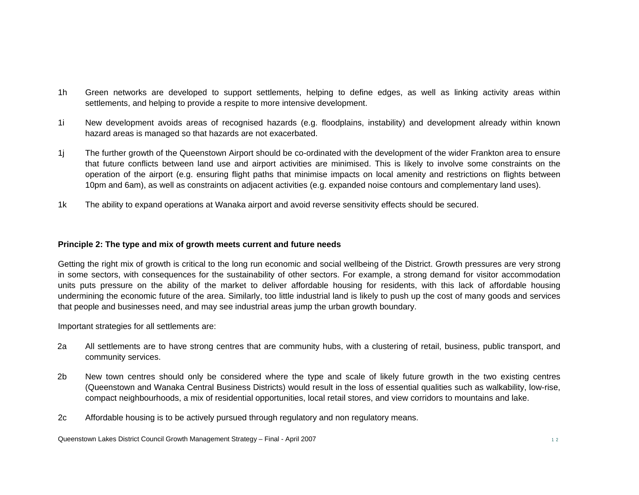- 1h Green networks are developed to support settlements, helping to define edges, as well as linking activity areas within settlements, and helping to provide a respite to more intensive development.
- 1i New development avoids areas of recognised hazards (e.g. floodplains, instability) and development already within known hazard areas is managed so that hazards are not exacerbated.
- 1j The further growth of the Queenstown Airport should be co-ordinated with the development of the wider Frankton area to ensure that future conflicts between land use and airport activities are minimised. This is likely to involve some constraints on the operation of the airport (e.g. ensuring flight paths that minimise impacts on local amenity and restrictions on flights between 10pm and 6am), as well as constraints on adjacent activities (e.g. expanded noise contours and complementary land uses).
- 1k The ability to expand operations at Wanaka airport and avoid reverse sensitivity effects should be secured.

#### **Principle 2: The type and mix of growth meets current and future needs**

Getting the right mix of growth is critical to the long run economic and social wellbeing of the District. Growth pressures are very strong in some sectors, with consequences for the sustainability of other sectors. For example, a strong demand for visitor accommodation units puts pressure on the ability of the market to deliver affordable housing for residents, with this lack of affordable housing undermining the economic future of the area. Similarly, too little industrial land is likely to push up the cost of many goods and services that people and businesses need, and may see industrial areas jump the urban growth boundary.

Important strategies for all settlements are:

- 2a All settlements are to have strong centres that are community hubs, with a clustering of retail, business, public transport, and community services.
- 2b New town centres should only be considered where the type and scale of likely future growth in the two existing centres (Queenstown and Wanaka Central Business Districts) would result in the loss of essential qualities such as walkability, low-rise, compact neighbourhoods, a mix of residential opportunities, local retail stores, and view corridors to mountains and lake.
- 2c Affordable housing is to be actively pursued through regulatory and non regulatory means.

Queenstown Lakes District Council Growth Management Strategy – Final - April 2007 <sup>1</sup> <sup>2</sup>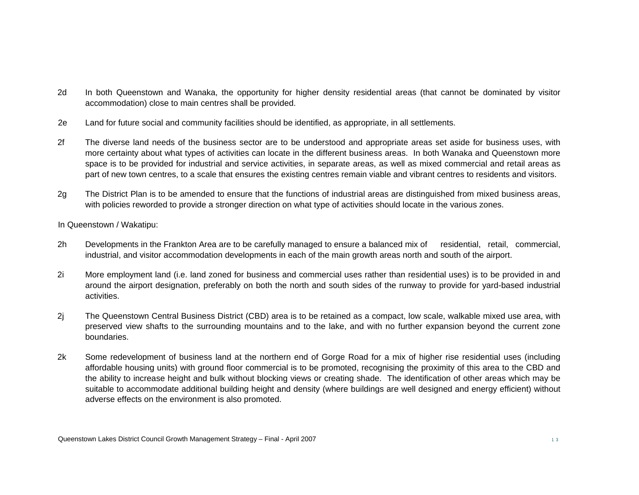- 2d In both Queenstown and Wanaka, the opportunity for higher density residential areas (that cannot be dominated by visitor accommodation) close to main centres shall be provided.
- 2e Land for future social and community facilities should be identified, as appropriate, in all settlements.
- 2f The diverse land needs of the business sector are to be understood and appropriate areas set aside for business uses, with more certainty about what types of activities can locate in the different business areas. In both Wanaka and Queenstown more space is to be provided for industrial and service activities, in separate areas, as well as mixed commercial and retail areas as part of new town centres, to a scale that ensures the existing centres remain viable and vibrant centres to residents and visitors.
- 2g The District Plan is to be amended to ensure that the functions of industrial areas are distinguished from mixed business areas, with policies reworded to provide a stronger direction on what type of activities should locate in the various zones.
- In Queenstown / Wakatipu:
- 2h Developments in the Frankton Area are to be carefully managed to ensure a balanced mix of residential, retail, commercial, industrial, and visitor accommodation developments in each of the main growth areas north and south of the airport.
- 2i More employment land (i.e. land zoned for business and commercial uses rather than residential uses) is to be provided in and around the airport designation, preferably on both the north and south sides of the runway to provide for yard-based industrial activities.
- 2j The Queenstown Central Business District (CBD) area is to be retained as a compact, low scale, walkable mixed use area, with preserved view shafts to the surrounding mountains and to the lake, and with no further expansion beyond the current zone boundaries.
- 2k Some redevelopment of business land at the northern end of Gorge Road for a mix of higher rise residential uses (including affordable housing units) with ground floor commercial is to be promoted, recognising the proximity of this area to the CBD and the ability to increase height and bulk without blocking views or creating shade. The identification of other areas which may be suitable to accommodate additional building height and density (where buildings are well designed and energy efficient) without adverse effects on the environment is also promoted.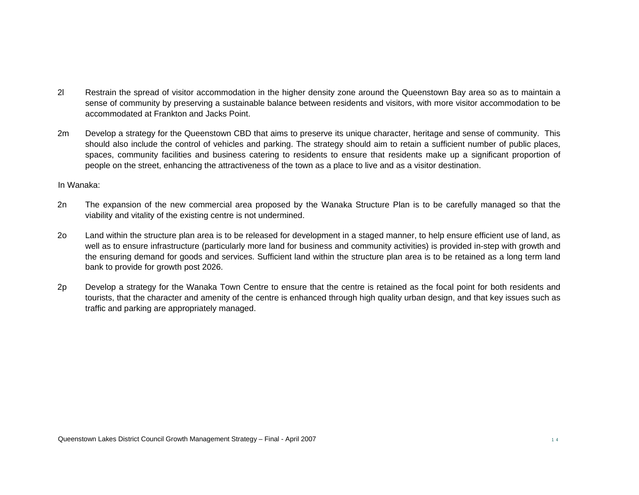- 2l Restrain the spread of visitor accommodation in the higher density zone around the Queenstown Bay area so as to maintain a sense of community by preserving a sustainable balance between residents and visitors, with more visitor accommodation to be accommodated at Frankton and Jacks Point.
- 2m Develop a strategy for the Queenstown CBD that aims to preserve its unique character, heritage and sense of community. This should also include the control of vehicles and parking. The strategy should aim to retain a sufficient number of public places, spaces, community facilities and business catering to residents to ensure that residents make up a significant proportion of people on the street, enhancing the attractiveness of the town as a place to live and as a visitor destination.

In Wanaka:

- 2n The expansion of the new commercial area proposed by the Wanaka Structure Plan is to be carefully managed so that the viability and vitality of the existing centre is not undermined.
- 2o Land within the structure plan area is to be released for development in a staged manner, to help ensure efficient use of land, as well as to ensure infrastructure (particularly more land for business and community activities) is provided in-step with growth and the ensuring demand for goods and services. Sufficient land within the structure plan area is to be retained as a long term land bank to provide for growth post 2026.
- 2p Develop a strategy for the Wanaka Town Centre to ensure that the centre is retained as the focal point for both residents and tourists, that the character and amenity of the centre is enhanced through high quality urban design, and that key issues such as traffic and parking are appropriately managed.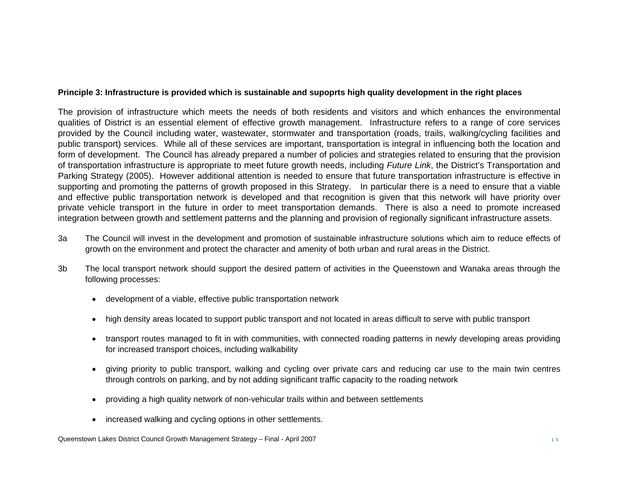#### **Principle 3: Infrastructure is provided which is sustainable and supoprts high quality development in the right places**

The provision of infrastructure which meets the needs of both residents and visitors and which enhances the environmental qualities of District is an essential element of effective growth management. Infrastructure refers to a range of core services provided by the Council including water, wastewater, stormwater and transportation (roads, trails, walking/cycling facilities and public transport) services. While all of these services are important, transportation is integral in influencing both the location and form of development. The Council has already prepared a number of policies and strategies related to ensuring that the provision of transportation infrastructure is appropriate to meet future growth needs, including *Future Link*, the District's Transportation and Parking Strategy (2005). However additional attention is needed to ensure that future transportation infrastructure is effective in supporting and promoting the patterns of growth proposed in this Strategy. In particular there is a need to ensure that a viable and effective public transportation network is developed and that recognition is given that this network will have priority over private vehicle transport in the future in order to meet transportation demands. There is also a need to promote increased integration between growth and settlement patterns and the planning and provision of regionally significant infrastructure assets.

- 3a The Council will invest in the development and promotion of sustainable infrastructure solutions which aim to reduce effects of growth on the environment and protect the character and amenity of both urban and rural areas in the District.
- 3b The local transport network should support the desired pattern of activities in the Queenstown and Wanaka areas through the following processes:
	- development of a viable, effective public transportation network
	- high density areas located to support public transport and not located in areas difficult to serve with public transport
	- transport routes managed to fit in with communities, with connected roading patterns in newly developing areas providing for increased transport choices, including walkability
	- giving priority to public transport, walking and cycling over private cars and reducing car use to the main twin centres through controls on parking, and by not adding significant traffic capacity to the roading network
	- providing a high quality network of non-vehicular trails within and between settlements
	- increased walking and cycling options in other settlements.

Queenstown Lakes District Council Growth Management Strategy – Final - April 2007 <sup>1</sup> <sup>5</sup>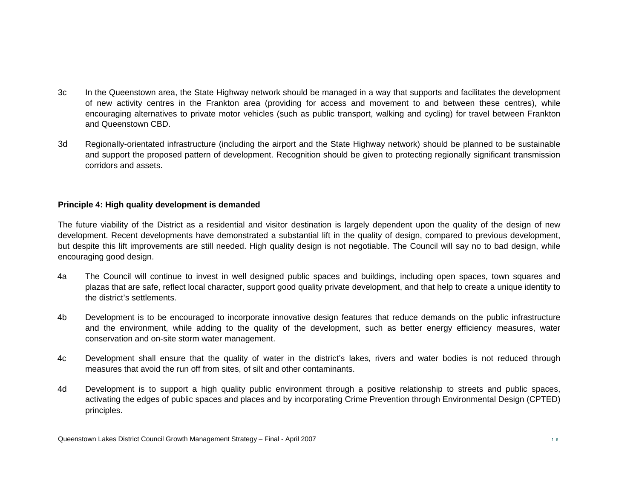- 3c In the Queenstown area, the State Highway network should be managed in a way that supports and facilitates the development of new activity centres in the Frankton area (providing for access and movement to and between these centres), while encouraging alternatives to private motor vehicles (such as public transport, walking and cycling) for travel between Frankton and Queenstown CBD.
- 3d Regionally-orientated infrastructure (including the airport and the State Highway network) should be planned to be sustainable and support the proposed pattern of development. Recognition should be given to protecting regionally significant transmission corridors and assets.

#### **Principle 4: High quality development is demanded**

The future viability of the District as a residential and visitor destination is largely dependent upon the quality of the design of new development. Recent developments have demonstrated a substantial lift in the quality of design, compared to previous development, but despite this lift improvements are still needed. High quality design is not negotiable. The Council will say no to bad design, while encouraging good design.

- 4a The Council will continue to invest in well designed public spaces and buildings, including open spaces, town squares and plazas that are safe, reflect local character, support good quality private development, and that help to create a unique identity to the district's settlements.
- 4b Development is to be encouraged to incorporate innovative design features that reduce demands on the public infrastructure and the environment, while adding to the quality of the development, such as better energy efficiency measures, water conservation and on-site storm water management.
- 4c Development shall ensure that the quality of water in the district's lakes, rivers and water bodies is not reduced through measures that avoid the run off from sites, of silt and other contaminants.
- 4d Development is to support a high quality public environment through a positive relationship to streets and public spaces, activating the edges of public spaces and places and by incorporating Crime Prevention through Environmental Design (CPTED) principles.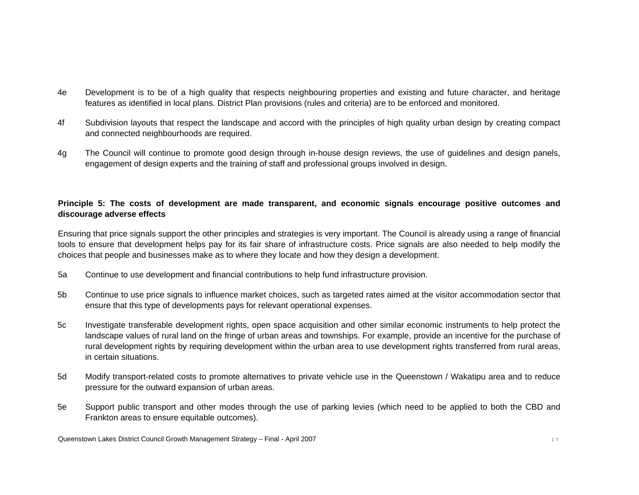- 4e Development is to be of a high quality that respects neighbouring properties and existing and future character, and heritage features as identified in local plans. District Plan provisions (rules and criteria) are to be enforced and monitored.
- 4f Subdivision layouts that respect the landscape and accord with the principles of high quality urban design by creating compact and connected neighbourhoods are required.
- 4g The Council will continue to promote good design through in-house design reviews, the use of guidelines and design panels, engagement of design experts and the training of staff and professional groups involved in design.

#### **Principle 5: The costs of development are made transparent, and economic signals encourage positive outcomes and discourage adverse effects**

Ensuring that price signals support the other principles and strategies is very important. The Council is already using a range of financial tools to ensure that development helps pay for its fair share of infrastructure costs. Price signals are also needed to help modify the choices that people and businesses make as to where they locate and how they design a development.

- 5a Continue to use development and financial contributions to help fund infrastructure provision.
- 5b Continue to use price signals to influence market choices, such as targeted rates aimed at the visitor accommodation sector that ensure that this type of developments pays for relevant operational expenses.
- 5c Investigate transferable development rights, open space acquisition and other similar economic instruments to help protect the landscape values of rural land on the fringe of urban areas and townships. For example, provide an incentive for the purchase of rural development rights by requiring development within the urban area to use development rights transferred from rural areas, in certain situations.
- 5d Modify transport-related costs to promote alternatives to private vehicle use in the Queenstown / Wakatipu area and to reduce pressure for the outward expansion of urban areas.
- 5e Support public transport and other modes through the use of parking levies (which need to be applied to both the CBD and Frankton areas to ensure equitable outcomes).

Queenstown Lakes District Council Growth Management Strategy – Final - April 2007 1 7 7 7 2 2007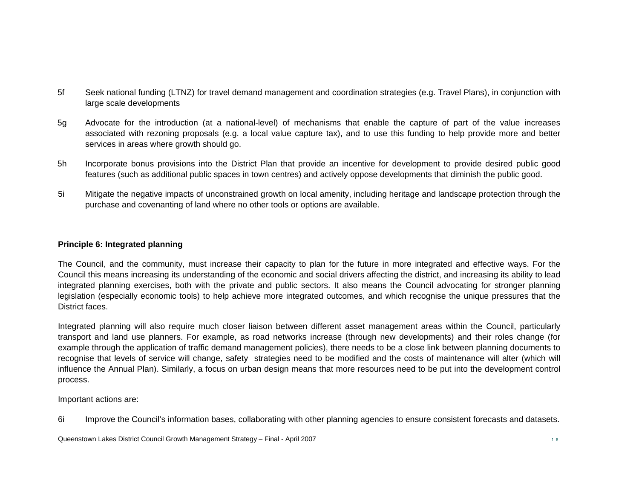- 5f Seek national funding (LTNZ) for travel demand management and coordination strategies (e.g. Travel Plans), in conjunction with large scale developments
- 5g Advocate for the introduction (at a national-level) of mechanisms that enable the capture of part of the value increases associated with rezoning proposals (e.g. a local value capture tax), and to use this funding to help provide more and better services in areas where growth should go.
- 5h Incorporate bonus provisions into the District Plan that provide an incentive for development to provide desired public good features (such as additional public spaces in town centres) and actively oppose developments that diminish the public good.
- 5i Mitigate the negative impacts of unconstrained growth on local amenity, including heritage and landscape protection through the purchase and covenanting of land where no other tools or options are available.

#### **Principle 6: Integrated planning**

The Council, and the community, must increase their capacity to plan for the future in more integrated and effective ways. For the Council this means increasing its understanding of the economic and social drivers affecting the district, and increasing its ability to lead integrated planning exercises, both with the private and public sectors. It also means the Council advocating for stronger planning legislation (especially economic tools) to help achieve more integrated outcomes, and which recognise the unique pressures that the District faces.

Integrated planning will also require much closer liaison between different asset management areas within the Council, particularly transport and land use planners. For example, as road networks increase (through new developments) and their roles change (for example through the application of traffic demand management policies), there needs to be a close link between planning documents to recognise that levels of service will change, safety strategies need to be modified and the costs of maintenance will alter (which will influence the Annual Plan). Similarly, a focus on urban design means that more resources need to be put into the development control process.

Important actions are:

6i Improve the Council's information bases, collaborating with other planning agencies to ensure consistent forecasts and datasets.

Queenstown Lakes District Council Growth Management Strategy – Final - April 2007 1 8 8 and 1 8 8 and 1 8 8 and 1 8 8 and 1 8 8 and 1 8 8 and 1 8 8 and 1 8 and 1 8 and 1 8 and 1 8 and 1 8 and 1 8 and 1 8 and 1 8 and 1 8 an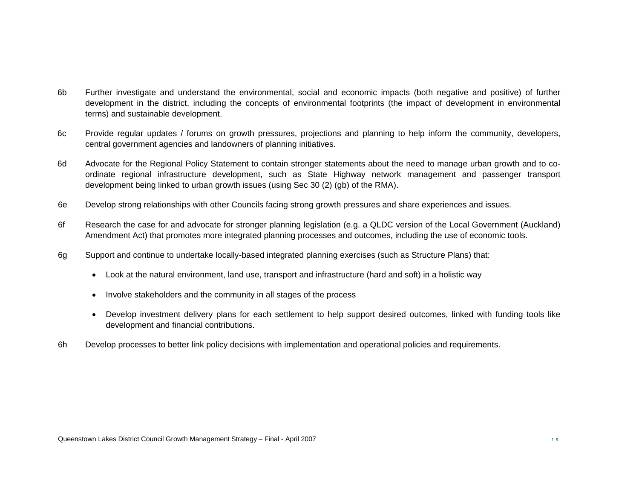- 6b Further investigate and understand the environmental, social and economic impacts (both negative and positive) of further development in the district, including the concepts of environmental footprints (the impact of development in environmental terms) and sustainable development.
- 6c Provide regular updates / forums on growth pressures, projections and planning to help inform the community, developers, central government agencies and landowners of planning initiatives.
- 6d Advocate for the Regional Policy Statement to contain stronger statements about the need to manage urban growth and to coordinate regional infrastructure development, such as State Highway network management and passenger transport development being linked to urban growth issues (using Sec 30 (2) (gb) of the RMA).
- 6e Develop strong relationships with other Councils facing strong growth pressures and share experiences and issues.
- 6f Research the case for and advocate for stronger planning legislation (e.g. a QLDC version of the Local Government (Auckland) Amendment Act) that promotes more integrated planning processes and outcomes, including the use of economic tools.
- 6g Support and continue to undertake locally-based integrated planning exercises (such as Structure Plans) that:
	- Look at the natural environment, land use, transport and infrastructure (hard and soft) in a holistic way
	- Involve stakeholders and the community in all stages of the process
	- Develop investment delivery plans for each settlement to help support desired outcomes, linked with funding tools like development and financial contributions.
- 6h Develop processes to better link policy decisions with implementation and operational policies and requirements.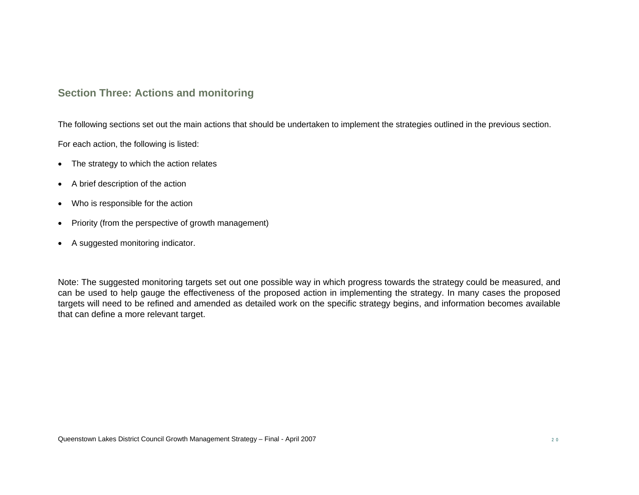# **Section Three: Actions and monitoring**

The following sections set out the main actions that should be undertaken to implement the strategies outlined in the previous section.

For each action, the following is listed:

- The strategy to which the action relates
- A brief description of the action
- Who is responsible for the action
- Priority (from the perspective of growth management)
- A suggested monitoring indicator.

Note: The suggested monitoring targets set out one possible way in which progress towards the strategy could be measured, and can be used to help gauge the effectiveness of the proposed action in implementing the strategy. In many cases the proposed targets will need to be refined and amended as detailed work on the specific strategy begins, and information becomes available that can define a more relevant target.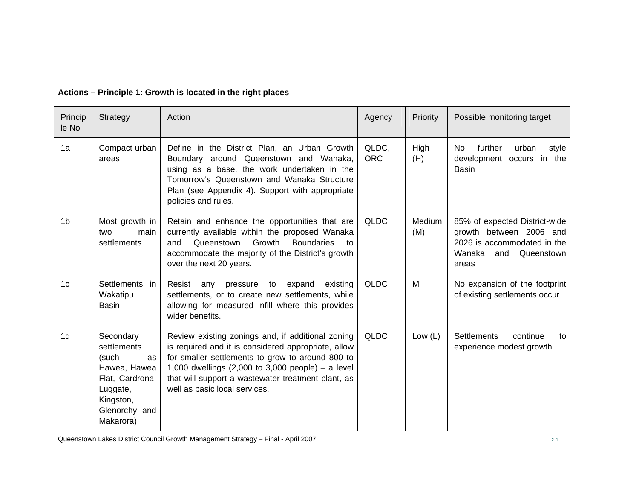| Princip<br>le No | Strategy                                                                                                                           | Action                                                                                                                                                                                                                                                                                                                      | Agency              | Priority             | Possible monitoring target                                                                                                      |
|------------------|------------------------------------------------------------------------------------------------------------------------------------|-----------------------------------------------------------------------------------------------------------------------------------------------------------------------------------------------------------------------------------------------------------------------------------------------------------------------------|---------------------|----------------------|---------------------------------------------------------------------------------------------------------------------------------|
| 1a               | Compact urban<br>areas                                                                                                             | Define in the District Plan, an Urban Growth<br>Boundary around Queenstown and Wanaka,<br>using as a base, the work undertaken in the<br>Tomorrow's Queenstown and Wanaka Structure<br>Plan (see Appendix 4). Support with appropriate<br>policies and rules.                                                               | QLDC,<br><b>ORC</b> | High<br>(H)          | further<br>N <sub>o</sub><br>urban<br>style<br>development occurs in the<br><b>Basin</b>                                        |
| 1 <sub>b</sub>   | Most growth in<br>main<br>two<br>settlements                                                                                       | Retain and enhance the opportunities that are<br>currently available within the proposed Wanaka<br>Growth<br><b>Boundaries</b><br>and<br>Queenstown<br>to<br>accommodate the majority of the District's growth<br>over the next 20 years.                                                                                   | <b>QLDC</b>         | <b>Medium</b><br>(M) | 85% of expected District-wide<br>growth between 2006 and<br>2026 is accommodated in the<br>Wanaka<br>Queenstown<br>and<br>areas |
| 1 <sub>c</sub>   | Settlements in<br>Wakatipu<br>Basin                                                                                                | Resist<br>existing<br>any<br>pressure<br>to<br>expand<br>settlements, or to create new settlements, while<br>allowing for measured infill where this provides<br>wider benefits.                                                                                                                                            | <b>QLDC</b>         | M                    | No expansion of the footprint<br>of existing settlements occur                                                                  |
| 1d               | Secondary<br>settlements<br>(such<br>as<br>Hawea, Hawea<br>Flat, Cardrona,<br>Luggate,<br>Kingston,<br>Glenorchy, and<br>Makarora) | Review existing zonings and, if additional zoning<br>is required and it is considered appropriate, allow<br>for smaller settlements to grow to around 800 to<br>1,000 dwellings $(2,000 \text{ to } 3,000 \text{ people}) - a level$<br>that will support a wastewater treatment plant, as<br>well as basic local services. | <b>QLDC</b>         | Low $(L)$            | <b>Settlements</b><br>continue<br>to<br>experience modest growth                                                                |

# **Actions – Principle 1: Growth is located in the right places**

Queenstown Lakes District Council Growth Management Strategy – Final - April 2007 2 1 2 1 2 1 2 1 2 1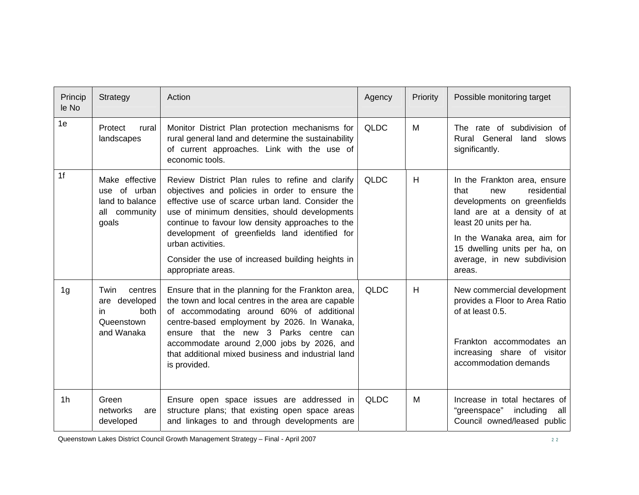| Princip<br>le No | Strategy                                                                      | Action                                                                                                                                                                                                                                                                                                                                                                                                        | Agency      | Priority | Possible monitoring target                                                                                                                                                                                                                                 |
|------------------|-------------------------------------------------------------------------------|---------------------------------------------------------------------------------------------------------------------------------------------------------------------------------------------------------------------------------------------------------------------------------------------------------------------------------------------------------------------------------------------------------------|-------------|----------|------------------------------------------------------------------------------------------------------------------------------------------------------------------------------------------------------------------------------------------------------------|
| 1e               | Protect<br>rural<br>landscapes                                                | Monitor District Plan protection mechanisms for<br>rural general land and determine the sustainability<br>of current approaches. Link with the use of<br>economic tools.                                                                                                                                                                                                                                      | <b>QLDC</b> | M        | The rate of subdivision of<br>Rural General<br>land slows<br>significantly.                                                                                                                                                                                |
| 1 <sub>f</sub>   | Make effective<br>use of urban<br>land to balance<br>all community<br>goals   | Review District Plan rules to refine and clarify<br>objectives and policies in order to ensure the<br>effective use of scarce urban land. Consider the<br>use of minimum densities, should developments<br>continue to favour low density approaches to the<br>development of greenfields land identified for<br>urban activities.<br>Consider the use of increased building heights in<br>appropriate areas. | <b>QLDC</b> | H        | In the Frankton area, ensure<br>residential<br>that<br>new<br>developments on greenfields<br>land are at a density of at<br>least 20 units per ha.<br>In the Wanaka area, aim for<br>15 dwelling units per ha, on<br>average, in new subdivision<br>areas. |
| 1g               | Twin<br>centres<br>developed<br>are<br>both<br>in<br>Queenstown<br>and Wanaka | Ensure that in the planning for the Frankton area,<br>the town and local centres in the area are capable<br>of accommodating around 60% of additional<br>centre-based employment by 2026. In Wanaka,<br>ensure that the new 3 Parks centre can<br>accommodate around 2,000 jobs by 2026, and<br>that additional mixed business and industrial land<br>is provided.                                            | <b>QLDC</b> | H        | New commercial development<br>provides a Floor to Area Ratio<br>of at least 0.5.<br>Frankton accommodates an<br>increasing share of visitor<br>accommodation demands                                                                                       |
| 1 <sub>h</sub>   | Green<br>networks<br>are<br>developed                                         | Ensure open space issues are addressed in<br>structure plans; that existing open space areas<br>and linkages to and through developments are                                                                                                                                                                                                                                                                  | <b>QLDC</b> | M        | Increase in total hectares of<br>"greenspace"<br>including<br>all<br>Council owned/leased public                                                                                                                                                           |

Queenstown Lakes District Council Growth Management Strategy – Final - April 2007 <sup>2</sup> <sup>2</sup>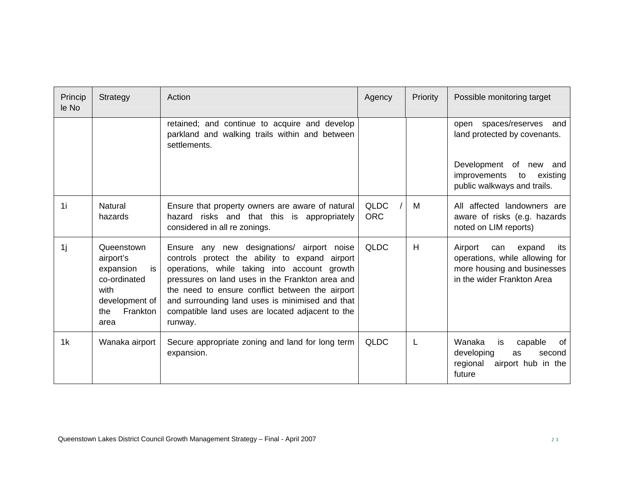| Princip<br>le No | Strategy                                                                                                               | Action                                                                                                                                                                                                                                                                                                                                                               | Agency                    | Priority | Possible monitoring target                                                                                                     |
|------------------|------------------------------------------------------------------------------------------------------------------------|----------------------------------------------------------------------------------------------------------------------------------------------------------------------------------------------------------------------------------------------------------------------------------------------------------------------------------------------------------------------|---------------------------|----------|--------------------------------------------------------------------------------------------------------------------------------|
|                  |                                                                                                                        | retained; and continue to acquire and develop<br>parkland and walking trails within and between<br>settlements.                                                                                                                                                                                                                                                      |                           |          | open spaces/reserves and<br>land protected by covenants.                                                                       |
|                  |                                                                                                                        |                                                                                                                                                                                                                                                                                                                                                                      |                           |          | Development of new<br>and<br>improvements<br>existing<br>to<br>public walkways and trails.                                     |
| 1i               | Natural<br>hazards                                                                                                     | Ensure that property owners are aware of natural<br>hazard risks and that this is appropriately<br>considered in all re zonings.                                                                                                                                                                                                                                     | <b>QLDC</b><br><b>ORC</b> | M        | All affected landowners are<br>aware of risks (e.g. hazards<br>noted on LIM reports)                                           |
| 1i               | Queenstown<br>airport's<br>expansion<br>is<br>co-ordinated<br>with<br>development of<br><b>Frankton</b><br>the<br>area | Ensure any new designations/ airport noise<br>controls protect the ability to expand airport<br>operations, while taking into account growth<br>pressures on land uses in the Frankton area and<br>the need to ensure conflict between the airport<br>and surrounding land uses is minimised and that<br>compatible land uses are located adjacent to the<br>runway. | <b>QLDC</b>               | H        | Airport<br>expand<br>its<br>can<br>operations, while allowing for<br>more housing and businesses<br>in the wider Frankton Area |
| 1k               | Wanaka airport                                                                                                         | Secure appropriate zoning and land for long term<br>expansion.                                                                                                                                                                                                                                                                                                       | <b>QLDC</b>               | L        | Wanaka<br>capable<br>is<br>of<br>developing<br>as<br>second<br>regional<br>airport hub in the<br>future                        |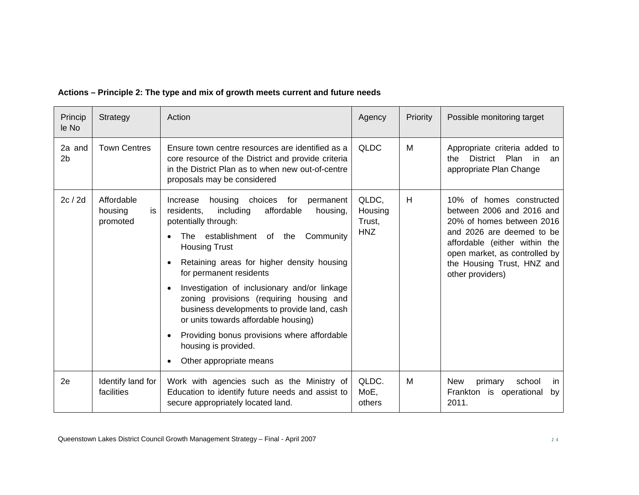| Princip<br>le No         | Strategy                                | Action                                                                                                                                                                                                                                                                                                                                                                                                                                                                                                                                                         | Agency                                   | Priority | Possible monitoring target                                                                                                                                                                                                          |
|--------------------------|-----------------------------------------|----------------------------------------------------------------------------------------------------------------------------------------------------------------------------------------------------------------------------------------------------------------------------------------------------------------------------------------------------------------------------------------------------------------------------------------------------------------------------------------------------------------------------------------------------------------|------------------------------------------|----------|-------------------------------------------------------------------------------------------------------------------------------------------------------------------------------------------------------------------------------------|
| 2a and<br>2 <sub>b</sub> | <b>Town Centres</b>                     | Ensure town centre resources are identified as a<br>core resource of the District and provide criteria<br>in the District Plan as to when new out-of-centre<br>proposals may be considered                                                                                                                                                                                                                                                                                                                                                                     | <b>QLDC</b>                              | М        | Appropriate criteria added to<br>Plan<br><b>District</b><br>in<br>the<br>an<br>appropriate Plan Change                                                                                                                              |
| 2c / 2d                  | Affordable<br>is<br>housing<br>promoted | housing<br>choices<br>Increase<br>for<br>permanent<br>including<br>affordable<br>residents,<br>housing,<br>potentially through:<br>The establishment of the<br>Community<br><b>Housing Trust</b><br>Retaining areas for higher density housing<br>for permanent residents<br>Investigation of inclusionary and/or linkage<br>zoning provisions (requiring housing and<br>business developments to provide land, cash<br>or units towards affordable housing)<br>Providing bonus provisions where affordable<br>housing is provided.<br>Other appropriate means | QLDC,<br>Housing<br>Trust.<br><b>HNZ</b> | H        | 10% of homes constructed<br>between 2006 and 2016 and<br>20% of homes between 2016<br>and 2026 are deemed to be<br>affordable (either within the<br>open market, as controlled by<br>the Housing Trust, HNZ and<br>other providers) |
| 2e                       | Identify land for<br>facilities         | Work with agencies such as the Ministry of<br>Education to identify future needs and assist to<br>secure appropriately located land.                                                                                                                                                                                                                                                                                                                                                                                                                           | QLDC.<br>MoE,<br>others                  | M        | school<br>New<br>primary<br>in.<br>Frankton is operational<br>by<br>2011.                                                                                                                                                           |

# **Actions – Principle 2: The type and mix of growth meets current and future needs**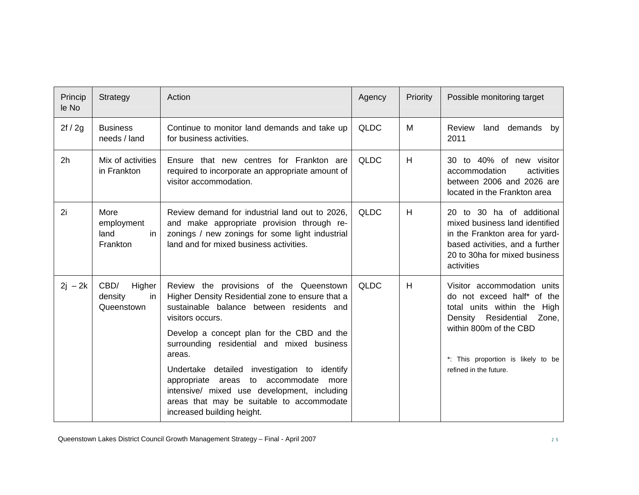| Princip<br>le No | Strategy                                      | Action                                                                                                                                                                                                                                                                                                                                                                                                                                                                                | Agency      | Priority | Possible monitoring target                                                                                                                                                                                         |
|------------------|-----------------------------------------------|---------------------------------------------------------------------------------------------------------------------------------------------------------------------------------------------------------------------------------------------------------------------------------------------------------------------------------------------------------------------------------------------------------------------------------------------------------------------------------------|-------------|----------|--------------------------------------------------------------------------------------------------------------------------------------------------------------------------------------------------------------------|
| 2f / 2g          | <b>Business</b><br>needs / land               | Continue to monitor land demands and take up<br>for business activities.                                                                                                                                                                                                                                                                                                                                                                                                              | <b>QLDC</b> | M        | Review<br>land demands by<br>2011                                                                                                                                                                                  |
| 2 <sub>h</sub>   | Mix of activities<br>in Frankton              | Ensure that new centres for Frankton are<br>required to incorporate an appropriate amount of<br>visitor accommodation.                                                                                                                                                                                                                                                                                                                                                                | <b>QLDC</b> | H        | 30 to 40% of new visitor<br>accommodation<br>activities<br>between 2006 and 2026 are<br>located in the Frankton area                                                                                               |
| 2i               | More<br>employment<br>land<br>in<br>Frankton  | Review demand for industrial land out to 2026.<br>and make appropriate provision through re-<br>zonings / new zonings for some light industrial<br>land and for mixed business activities.                                                                                                                                                                                                                                                                                            | <b>QLDC</b> | H        | 20 to 30 ha of additional<br>mixed business land identified<br>in the Frankton area for yard-<br>based activities, and a further<br>20 to 30ha for mixed business<br>activities                                    |
| $2j - 2k$        | CBD/<br>Higher<br>density<br>in<br>Queenstown | Review the provisions of the Queenstown<br>Higher Density Residential zone to ensure that a<br>sustainable balance between residents and<br>visitors occurs.<br>Develop a concept plan for the CBD and the<br>surrounding residential and mixed business<br>areas.<br>Undertake detailed investigation to identify<br>appropriate areas to accommodate more<br>intensive/ mixed use development, including<br>areas that may be suitable to accommodate<br>increased building height. | <b>QLDC</b> | H        | Visitor accommodation units<br>do not exceed half* of the<br>total units within the High<br>Density Residential<br>Zone,<br>within 800m of the CBD<br>*: This proportion is likely to be<br>refined in the future. |

Queenstown Lakes District Council Growth Management Strategy – Final - April 2007 28 2 5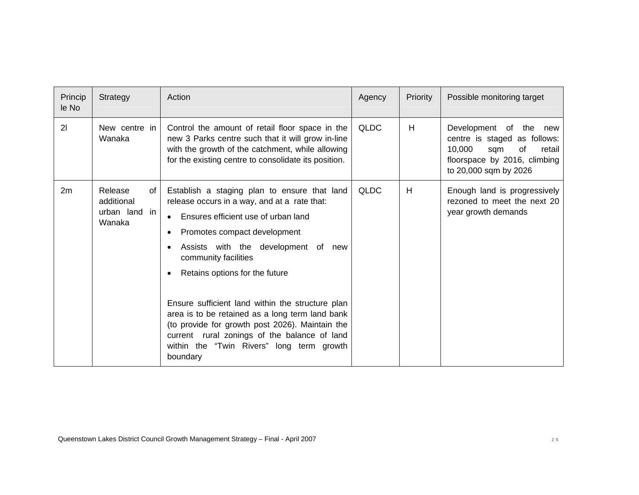| Princip<br>le No | Strategy                                               | Action                                                                                                                                                                                                                                                                                                                                                                                                                                                                                                                                               | Agency      | Priority | Possible monitoring target                                                                                                                       |
|------------------|--------------------------------------------------------|------------------------------------------------------------------------------------------------------------------------------------------------------------------------------------------------------------------------------------------------------------------------------------------------------------------------------------------------------------------------------------------------------------------------------------------------------------------------------------------------------------------------------------------------------|-------------|----------|--------------------------------------------------------------------------------------------------------------------------------------------------|
| 21               | New centre in<br>Wanaka                                | Control the amount of retail floor space in the<br>new 3 Parks centre such that it will grow in-line<br>with the growth of the catchment, while allowing<br>for the existing centre to consolidate its position.                                                                                                                                                                                                                                                                                                                                     | <b>QLDC</b> | H        | Development of the new<br>centre is staged as follows:<br>10,000<br>of<br>sqm<br>retail<br>floorspace by 2016, climbing<br>to 20,000 sqm by 2026 |
| 2m               | Release<br>of<br>additional<br>urban land in<br>Wanaka | Establish a staging plan to ensure that land<br>release occurs in a way, and at a rate that:<br>Ensures efficient use of urban land<br>$\bullet$<br>Promotes compact development<br>Assists with the development of new<br>community facilities<br>Retains options for the future<br>Ensure sufficient land within the structure plan<br>area is to be retained as a long term land bank<br>(to provide for growth post 2026). Maintain the<br>current rural zonings of the balance of land<br>within the "Twin Rivers" long term growth<br>boundary | <b>QLDC</b> | H        | Enough land is progressively<br>rezoned to meet the next 20<br>year growth demands                                                               |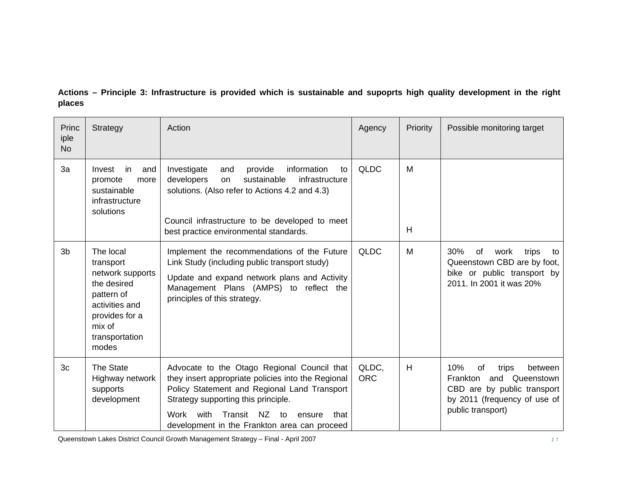**Actions – Principle 3: Infrastructure is provided which is sustainable and supoprts high quality development in the right places** 

| Princ<br>iple<br><b>No</b> | Strategy                                                                                                                                         | Action                                                                                                                                                                                                                                                                                         | Agency              | Priority | Possible monitoring target                                                                                                                      |
|----------------------------|--------------------------------------------------------------------------------------------------------------------------------------------------|------------------------------------------------------------------------------------------------------------------------------------------------------------------------------------------------------------------------------------------------------------------------------------------------|---------------------|----------|-------------------------------------------------------------------------------------------------------------------------------------------------|
| 3a                         | Invest<br>in.<br>and<br>promote<br>more<br>sustainable<br>infrastructure<br>solutions                                                            | Investigate<br>provide<br>information<br>and<br>to<br>developers<br>sustainable<br>infrastructure<br>on<br>solutions. (Also refer to Actions 4.2 and 4.3)<br>Council infrastructure to be developed to meet<br>best practice environmental standards.                                          | <b>QLDC</b>         | M<br>H   |                                                                                                                                                 |
| 3 <sub>b</sub>             | The local<br>transport<br>network supports<br>the desired<br>pattern of<br>activities and<br>provides for a<br>mix of<br>transportation<br>modes | Implement the recommendations of the Future<br>Link Study (including public transport study)<br>Update and expand network plans and Activity<br>Management Plans (AMPS) to reflect the<br>principles of this strategy.                                                                         | <b>QLDC</b>         | М        | trips<br>30%<br>of<br>work<br>to<br>Queenstown CBD are by foot,<br>bike or public transport by<br>2011. In 2001 it was 20%                      |
| 3 <sub>c</sub>             | The State<br>Highway network<br>supports<br>development                                                                                          | Advocate to the Otago Regional Council that<br>they insert appropriate policies into the Regional<br>Policy Statement and Regional Land Transport<br>Strategy supporting this principle.<br>Transit NZ<br>with<br>Work<br>that<br>ensure<br>to<br>development in the Frankton area can proceed | QLDC.<br><b>ORC</b> | H        | 10%<br>of<br>trips<br>between<br>Frankton<br>and Queenstown<br>CBD are by public transport<br>by 2011 (frequency of use of<br>public transport) |

Queenstown Lakes District Council Growth Management Strategy – Final - April 2007 <sup>2</sup> <sup>7</sup>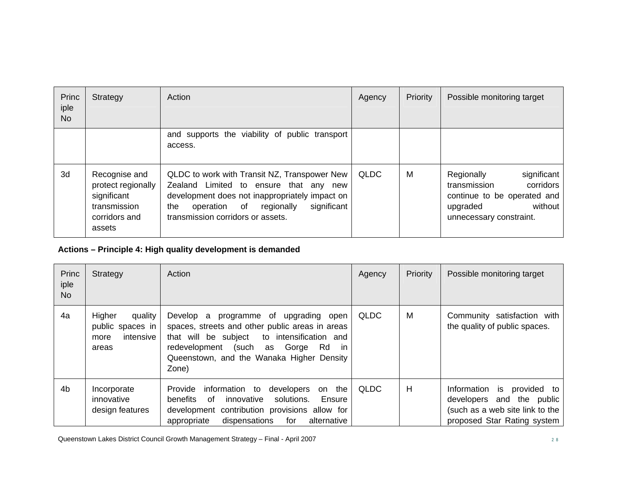| Princ<br>iple<br><b>No</b> | Strategy                                                                                      | Action                                                                                                                                                                                                                            | Agency      | Priority | Possible monitoring target                                                                                                              |
|----------------------------|-----------------------------------------------------------------------------------------------|-----------------------------------------------------------------------------------------------------------------------------------------------------------------------------------------------------------------------------------|-------------|----------|-----------------------------------------------------------------------------------------------------------------------------------------|
|                            |                                                                                               | and supports the viability of public transport<br>access.                                                                                                                                                                         |             |          |                                                                                                                                         |
| 3d                         | Recognise and<br>protect regionally<br>significant<br>transmission<br>corridors and<br>assets | QLDC to work with Transit NZ, Transpower New<br>Zealand Limited to ensure that any new<br>development does not inappropriately impact on<br>significant<br>regionally<br>operation of<br>the<br>transmission corridors or assets. | <b>QLDC</b> | M        | significant<br>Regionally<br>corridors<br>transmission<br>continue to be operated and<br>without<br>upgraded<br>unnecessary constraint. |

# **Actions – Principle 4: High quality development is demanded**

| Princ<br>iple<br>No. | Strategy                                                            | Action                                                                                                                                                                                                                                                     | Agency      | Priority | Possible monitoring target                                                                                                                |
|----------------------|---------------------------------------------------------------------|------------------------------------------------------------------------------------------------------------------------------------------------------------------------------------------------------------------------------------------------------------|-------------|----------|-------------------------------------------------------------------------------------------------------------------------------------------|
| 4a                   | Higher<br>quality<br>public spaces in<br>intensive<br>more<br>areas | Develop a<br>programme of upgrading open<br>spaces, streets and other public areas in areas<br>that will be subject<br>to intensification and<br>(such<br>Gorge<br>redevelopment<br>Rd<br>as<br>- in<br>Queenstown, and the Wanaka Higher Density<br>Zone) | <b>QLDC</b> | M        | Community satisfaction with<br>the quality of public spaces.                                                                              |
| 4 <sub>b</sub>       | Incorporate<br>innovative<br>design features                        | Provide<br>information to<br>developers<br>the<br>on<br>solutions.<br><b>benefits</b><br>of<br>innovative<br>Ensure<br>development contribution provisions allow for<br>dispensations<br>alternative<br>appropriate<br>for                                 | QLDC        | H        | provided to<br>Information<br><b>is</b><br>and the public<br>developers<br>(such as a web site link to the<br>proposed Star Rating system |

Queenstown Lakes District Council Growth Management Strategy – Final - April 2007 28 2 8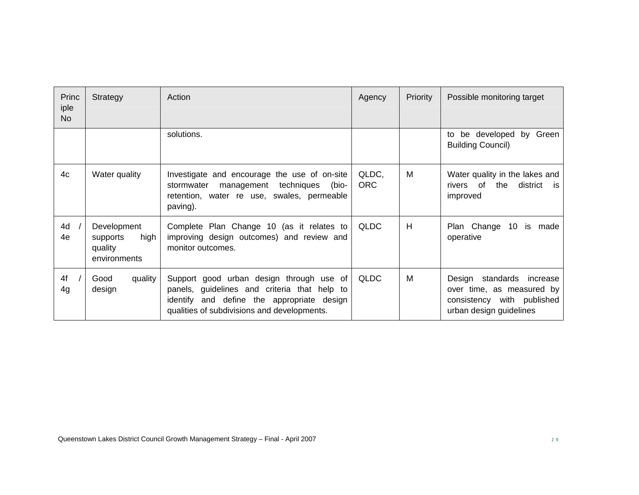| Princ<br>iple<br>N <sub>o</sub> | Strategy                                                   | Action                                                                                                                                                                                | Agency              | Priority | Possible monitoring target                                                                                            |
|---------------------------------|------------------------------------------------------------|---------------------------------------------------------------------------------------------------------------------------------------------------------------------------------------|---------------------|----------|-----------------------------------------------------------------------------------------------------------------------|
|                                 |                                                            | solutions.                                                                                                                                                                            |                     |          | be developed by Green<br>to<br><b>Building Council)</b>                                                               |
| 4c                              | Water quality                                              | Investigate and encourage the use of on-site<br>techniques<br>(bio-<br>stormwater<br>management<br>retention, water re use, swales, permeable<br>paving).                             | QLDC,<br><b>ORC</b> | М        | Water quality in the lakes and<br>rivers of<br>the<br>district<br><b>is</b><br>improved                               |
| 4d<br>4e                        | Development<br>high<br>supports<br>quality<br>environments | Complete Plan Change 10 (as it relates to<br>improving design outcomes) and review and<br>monitor outcomes.                                                                           | <b>QLDC</b>         | H        | Plan Change<br>10 <sup>°</sup><br>is made<br>operative                                                                |
| 4f<br>4g                        | quality<br>Good<br>design                                  | Support good urban design through use of<br>panels, guidelines and criteria that help to<br>identify and define the appropriate design<br>qualities of subdivisions and developments. | <b>QLDC</b>         | M        | standards<br>Design<br>increase<br>over time, as measured by<br>consistency with published<br>urban design guidelines |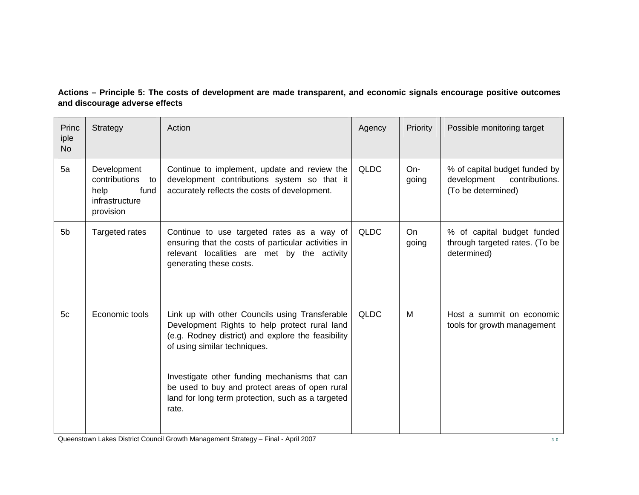#### **Actions – Principle 5: The costs of development are made transparent, and economic signals encourage positive outcomes and discourage adverse effects**

| Princ<br>iple<br><b>No</b> | Strategy                                                                          | Action                                                                                                                                                                                                                                                                                                                                                 | Agency      | Priority           | Possible monitoring target                                                           |
|----------------------------|-----------------------------------------------------------------------------------|--------------------------------------------------------------------------------------------------------------------------------------------------------------------------------------------------------------------------------------------------------------------------------------------------------------------------------------------------------|-------------|--------------------|--------------------------------------------------------------------------------------|
| 5a                         | Development<br>contributions<br>to<br>fund<br>help<br>infrastructure<br>provision | Continue to implement, update and review the<br>development contributions system so that it<br>accurately reflects the costs of development.                                                                                                                                                                                                           | <b>QLDC</b> | $On-$<br>going     | % of capital budget funded by<br>development<br>contributions.<br>(To be determined) |
| 5 <sub>b</sub>             | <b>Targeted rates</b>                                                             | Continue to use targeted rates as a way of<br>ensuring that the costs of particular activities in<br>relevant localities are met by the activity<br>generating these costs.                                                                                                                                                                            | <b>QLDC</b> | <b>On</b><br>going | % of capital budget funded<br>through targeted rates. (To be<br>determined)          |
| 5 <sub>c</sub>             | Economic tools                                                                    | Link up with other Councils using Transferable<br>Development Rights to help protect rural land<br>(e.g. Rodney district) and explore the feasibility<br>of using similar techniques.<br>Investigate other funding mechanisms that can<br>be used to buy and protect areas of open rural<br>land for long term protection, such as a targeted<br>rate. | <b>QLDC</b> | M                  | Host a summit on economic<br>tools for growth management                             |

Queenstown Lakes District Council Growth Management Strategy – Final - April 2007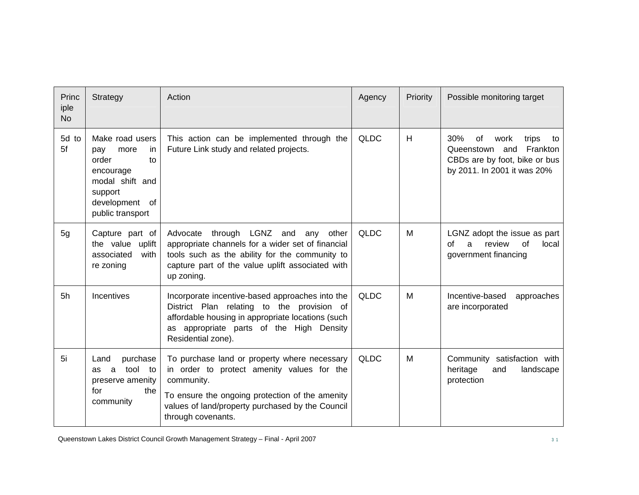| Princ<br>iple<br><b>No</b> | Strategy                                                                                                                              | Action                                                                                                                                                                                                                                | Agency      | Priority | Possible monitoring target                                                                                                        |
|----------------------------|---------------------------------------------------------------------------------------------------------------------------------------|---------------------------------------------------------------------------------------------------------------------------------------------------------------------------------------------------------------------------------------|-------------|----------|-----------------------------------------------------------------------------------------------------------------------------------|
| 5d to<br>5f                | Make road users<br>more<br>pay<br>-in<br>order<br>to<br>encourage<br>modal shift and<br>support<br>development of<br>public transport | This action can be implemented through the<br>Future Link study and related projects.                                                                                                                                                 | <b>QLDC</b> | H        | 30%<br>of<br>work<br>trips<br>to<br>and<br>Queenstown<br>Frankton<br>CBDs are by foot, bike or bus<br>by 2011. In 2001 it was 20% |
| 5g                         | Capture part of<br>the value uplift<br>associated<br>with<br>re zoning                                                                | through LGNZ and<br>Advocate<br>any<br>other<br>appropriate channels for a wider set of financial<br>tools such as the ability for the community to<br>capture part of the value uplift associated with<br>up zoning.                 | <b>QLDC</b> | M        | LGNZ adopt the issue as part<br>review<br>of<br>of<br>a<br>local<br>government financing                                          |
| 5h                         | <b>Incentives</b>                                                                                                                     | Incorporate incentive-based approaches into the<br>District Plan relating to the provision of<br>affordable housing in appropriate locations (such<br>as appropriate parts of the High Density<br>Residential zone).                  | <b>QLDC</b> | M        | Incentive-based<br>approaches<br>are incorporated                                                                                 |
| 5i                         | purchase<br>Land<br>tool to<br>a<br>as<br>preserve amenity<br>for<br>the<br>community                                                 | To purchase land or property where necessary<br>in order to protect amenity values for the<br>community.<br>To ensure the ongoing protection of the amenity<br>values of land/property purchased by the Council<br>through covenants. | <b>QLDC</b> | M        | Community satisfaction with<br>heritage<br>landscape<br>and<br>protection                                                         |

Queenstown Lakes District Council Growth Management Strategy – Final - April 2007 31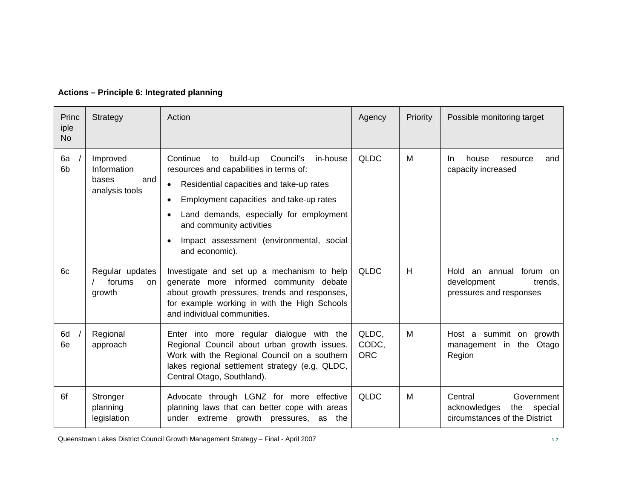| Princ<br>iple<br><b>No</b> | Strategy                                                  | Action                                                                                                                                                                                                                                                                                                                                  | Agency                       | Priority | Possible monitoring target                                                               |
|----------------------------|-----------------------------------------------------------|-----------------------------------------------------------------------------------------------------------------------------------------------------------------------------------------------------------------------------------------------------------------------------------------------------------------------------------------|------------------------------|----------|------------------------------------------------------------------------------------------|
| 6a<br>6 <sub>b</sub>       | Improved<br>Information<br>bases<br>and<br>analysis tools | Continue<br>build-up<br>Council's<br>in-house<br>to<br>resources and capabilities in terms of:<br>Residential capacities and take-up rates<br>$\bullet$<br>Employment capacities and take-up rates<br>Land demands, especially for employment<br>and community activities<br>Impact assessment (environmental, social<br>and economic). | <b>QLDC</b>                  | М        | house<br>In.<br>resource<br>and<br>capacity increased                                    |
| 6c                         | Regular updates<br>forums<br>on.<br>growth                | Investigate and set up a mechanism to help<br>generate more informed community debate<br>about growth pressures, trends and responses,<br>for example working in with the High Schools<br>and individual communities.                                                                                                                   | <b>QLDC</b>                  | H        | an annual forum on<br>Hold<br>development<br>trends.<br>pressures and responses          |
| 6d<br>6e                   | Regional<br>approach                                      | Enter into more regular dialogue with the<br>Regional Council about urban growth issues.<br>Work with the Regional Council on a southern<br>lakes regional settlement strategy (e.g. QLDC,<br>Central Otago, Southland).                                                                                                                | QLDC,<br>CODC,<br><b>ORC</b> | M        | Host a summit on growth<br>management in the Otago<br>Region                             |
| 6f                         | Stronger<br>planning<br>legislation                       | Advocate through LGNZ for more effective<br>planning laws that can better cope with areas<br>under extreme growth pressures, as the                                                                                                                                                                                                     | <b>QLDC</b>                  | M        | Government<br>Central<br>acknowledges<br>the<br>special<br>circumstances of the District |

# **Actions – Principle 6: Integrated planning**

Queenstown Lakes District Council Growth Management Strategy – Final - April 2007 32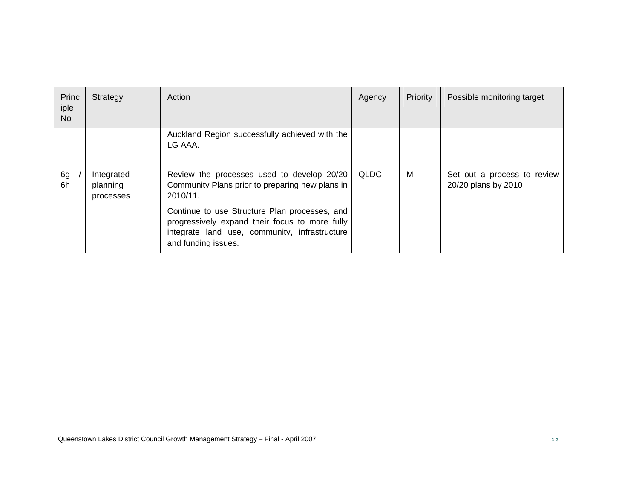| Princ<br>iple<br><b>No</b> | Strategy                            | Action                                                                                                                                                                  | Agency | Priority | Possible monitoring target                         |
|----------------------------|-------------------------------------|-------------------------------------------------------------------------------------------------------------------------------------------------------------------------|--------|----------|----------------------------------------------------|
|                            |                                     | Auckland Region successfully achieved with the<br>LG AAA.                                                                                                               |        |          |                                                    |
| 6g<br>6h                   | Integrated<br>planning<br>processes | Review the processes used to develop 20/20<br>Community Plans prior to preparing new plans in<br>2010/11.                                                               | QLDC   | M        | Set out a process to review<br>20/20 plans by 2010 |
|                            |                                     | Continue to use Structure Plan processes, and<br>progressively expand their focus to more fully<br>integrate land use, community, infrastructure<br>and funding issues. |        |          |                                                    |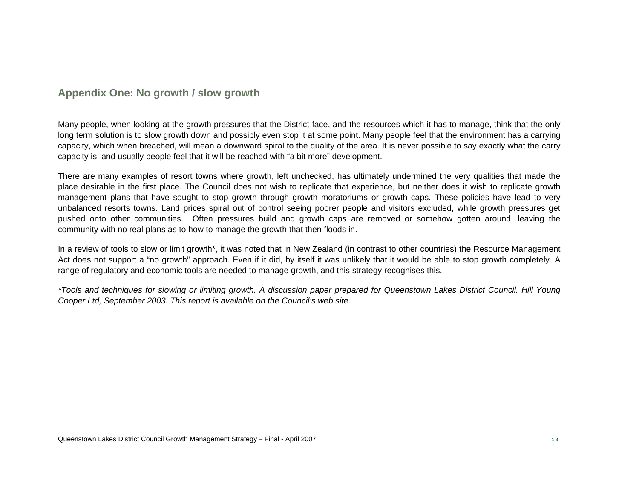# **Appendix One: No growth / slow growth**

Many people, when looking at the growth pressures that the District face, and the resources which it has to manage, think that the only long term solution is to slow growth down and possibly even stop it at some point. Many people feel that the environment has a carrying capacity, which when breached, will mean a downward spiral to the quality of the area. It is never possible to say exactly what the carry capacity is, and usually people feel that it will be reached with "a bit more" development.

There are many examples of resort towns where growth, left unchecked, has ultimately undermined the very qualities that made the place desirable in the first place. The Council does not wish to replicate that experience, but neither does it wish to replicate growth management plans that have sought to stop growth through growth moratoriums or growth caps. These policies have lead to very unbalanced resorts towns. Land prices spiral out of control seeing poorer people and visitors excluded, while growth pressures get pushed onto other communities. Often pressures build and growth caps are removed or somehow gotten around, leaving the community with no real plans as to how to manage the growth that then floods in.

In a review of tools to slow or limit growth\*, it was noted that in New Zealand (in contrast to other countries) the Resource Management Act does not support a "no growth" approach. Even if it did, by itself it was unlikely that it would be able to stop growth completely. A range of regulatory and economic tools are needed to manage growth, and this strategy recognises this.

*\*Tools and techniques for slowing or limiting growth. A discussion paper prepared for Queenstown Lakes District Council. Hill Young Cooper Ltd, September 2003. This report is available on the Council's web site.*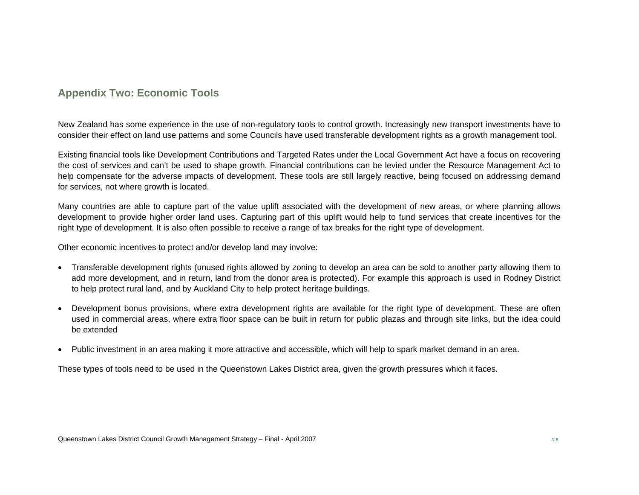# **Appendix Two: Economic Tools**

New Zealand has some experience in the use of non-regulatory tools to control growth. Increasingly new transport investments have to consider their effect on land use patterns and some Councils have used transferable development rights as a growth management tool.

Existing financial tools like Development Contributions and Targeted Rates under the Local Government Act have a focus on recovering the cost of services and can't be used to shape growth. Financial contributions can be levied under the Resource Management Act to help compensate for the adverse impacts of development. These tools are still largely reactive, being focused on addressing demand for services, not where growth is located.

Many countries are able to capture part of the value uplift associated with the development of new areas, or where planning allows development to provide higher order land uses. Capturing part of this uplift would help to fund services that create incentives for the right type of development. It is also often possible to receive a range of tax breaks for the right type of development.

Other economic incentives to protect and/or develop land may involve:

- Transferable development rights (unused rights allowed by zoning to develop an area can be sold to another party allowing them to add more development, and in return, land from the donor area is protected). For example this approach is used in Rodney District to help protect rural land, and by Auckland City to help protect heritage buildings.
- Development bonus provisions, where extra development rights are available for the right type of development. These are often used in commercial areas, where extra floor space can be built in return for public plazas and through site links, but the idea could be extended
- Public investment in an area making it more attractive and accessible, which will help to spark market demand in an area.

These types of tools need to be used in the Queenstown Lakes District area, given the growth pressures which it faces.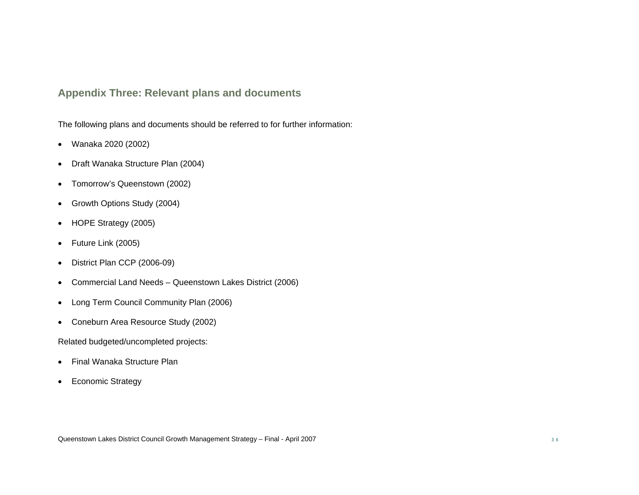# **Appendix Three: Relevant plans and documents**

The following plans and documents should be referred to for further information:

- Wanaka 2020 (2002)
- Draft Wanaka Structure Plan (2004)
- Tomorrow's Queenstown (2002)
- Growth Options Study (2004)
- HOPE Strategy (2005)
- Future Link (2005)
- District Plan CCP (2006-09)
- Commercial Land Needs Queenstown Lakes District (2006)
- Long Term Council Community Plan (2006)
- Coneburn Area Resource Study (2002)

Related budgeted/uncompleted projects:

- Final Wanaka Structure Plan
- Economic Strategy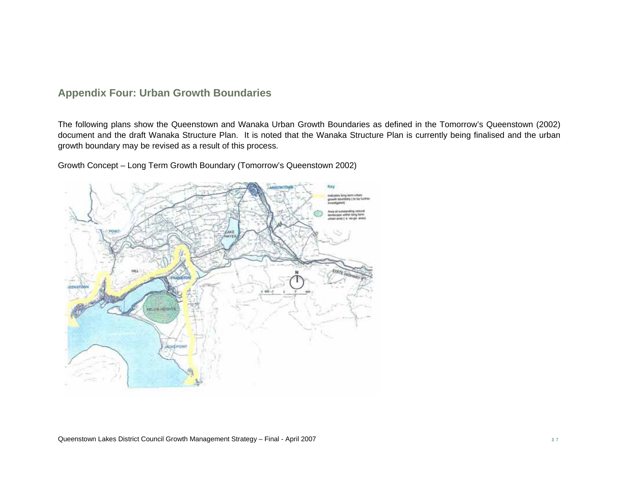# **Appendix Four: Urban Growth Boundaries**

The following plans show the Queenstown and Wanaka Urban Growth Boundaries as defined in the Tomorrow's Queenstown (2002) document and the draft Wanaka Structure Plan. It is noted that the Wanaka Structure Plan is currently being finalised and the urban growth boundary may be revised as a result of this process.

Growth Concept – Long Term Growth Boundary (Tomorrow's Queenstown 2002)